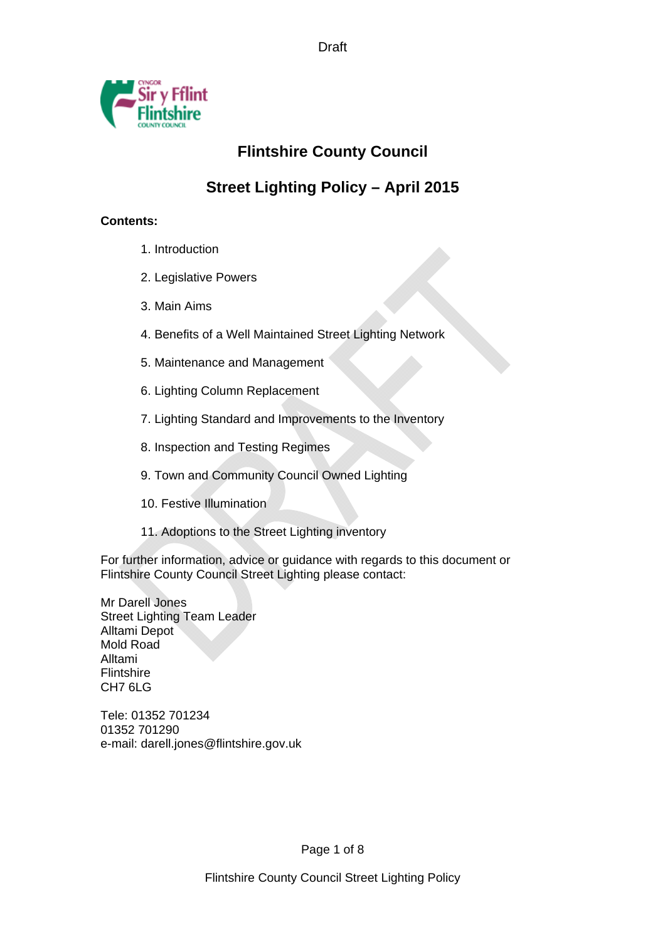Draft



# **Flintshire County Council**

## **Street Lighting Policy – April 2015**

## **Contents:**

- 1. Introduction
- 2. Legislative Powers
- 3. Main Aims
- 4. Benefits of a Well Maintained Street Lighting Network
- 5. Maintenance and Management
- 6. Lighting Column Replacement
- 7. Lighting Standard and Improvements to the Inventory
- 8. Inspection and Testing Regimes
- 9. Town and Community Council Owned Lighting
- 10. Festive Illumination
- 11. Adoptions to the Street Lighting inventory

For further information, advice or guidance with regards to this document or Flintshire County Council Street Lighting please contact:

Mr Darell Jones Street Lighting Team Leader Alltami Depot Mold Road Alltami Flintshire CH7 6LG

Tele: 01352 701234 01352 701290 e-mail: darell.jones@flintshire.gov.uk

Page 1 of 8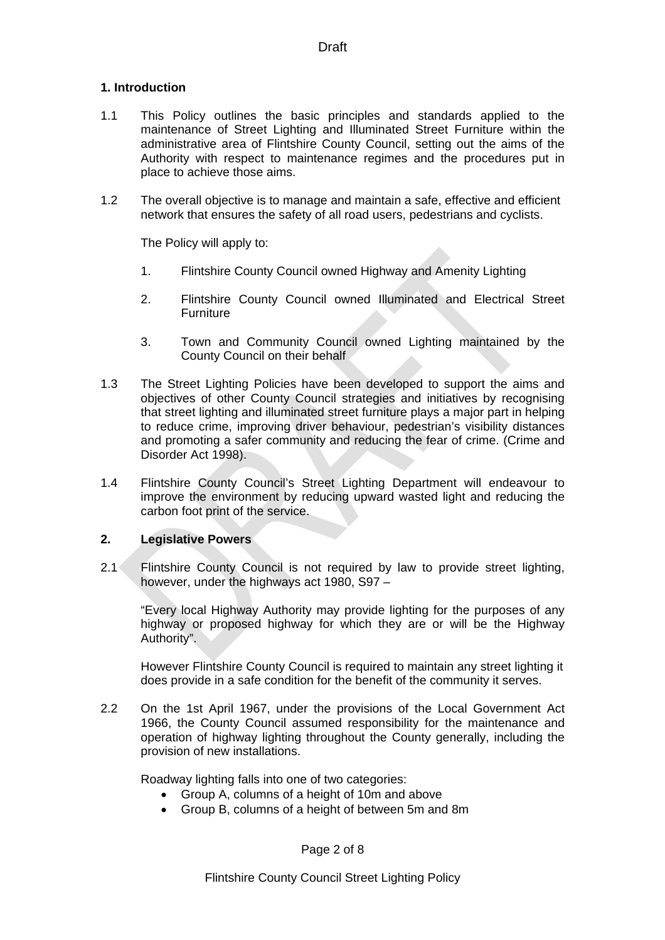#### **1. Introduction**

- 1.1 This Policy outlines the basic principles and standards applied to the maintenance of Street Lighting and Illuminated Street Furniture within the administrative area of Flintshire County Council, setting out the aims of the Authority with respect to maintenance regimes and the procedures put in place to achieve those aims.
- 1.2 The overall objective is to manage and maintain a safe, effective and efficient network that ensures the safety of all road users, pedestrians and cyclists.

The Policy will apply to:

- 1. Flintshire County Council owned Highway and Amenity Lighting
- 2. Flintshire County Council owned Illuminated and Electrical Street **Furniture**
- 3. Town and Community Council owned Lighting maintained by the County Council on their behalf
- 1.3 The Street Lighting Policies have been developed to support the aims and objectives of other County Council strategies and initiatives by recognising that street lighting and illuminated street furniture plays a major part in helping to reduce crime, improving driver behaviour, pedestrian's visibility distances and promoting a safer community and reducing the fear of crime. (Crime and Disorder Act 1998).
- 1.4 Flintshire County Council's Street Lighting Department will endeavour to improve the environment by reducing upward wasted light and reducing the carbon foot print of the service.

#### **2. Legislative Powers**

2.1 Flintshire County Council is not required by law to provide street lighting, however, under the highways act 1980, S97 –

"Every local Highway Authority may provide lighting for the purposes of any highway or proposed highway for which they are or will be the Highway Authority".

However Flintshire County Council is required to maintain any street lighting it does provide in a safe condition for the benefit of the community it serves.

2.2 On the 1st April 1967, under the provisions of the Local Government Act 1966, the County Council assumed responsibility for the maintenance and operation of highway lighting throughout the County generally, including the provision of new installations.

Roadway lighting falls into one of two categories:

- Group A, columns of a height of 10m and above
- Group B, columns of a height of between 5m and 8m

Page 2 of 8

Flintshire County Council Street Lighting Policy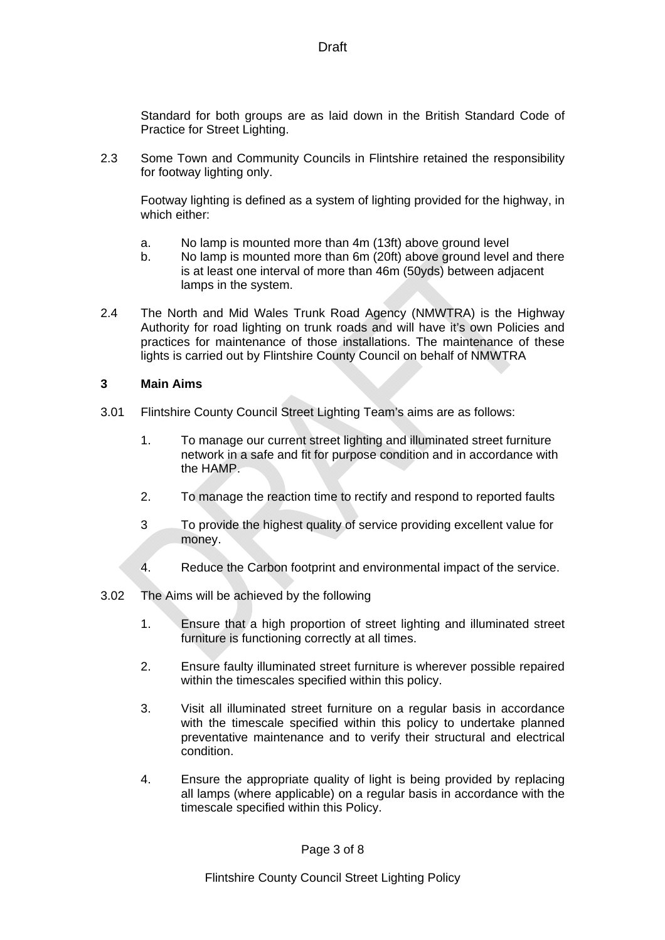Standard for both groups are as laid down in the British Standard Code of Practice for Street Lighting.

2.3 Some Town and Community Councils in Flintshire retained the responsibility for footway lighting only.

Footway lighting is defined as a system of lighting provided for the highway, in which either:

- a. No lamp is mounted more than 4m (13ft) above ground level
- b. No lamp is mounted more than 6m (20ft) above ground level and there is at least one interval of more than 46m (50yds) between adjacent lamps in the system.
- 2.4 The North and Mid Wales Trunk Road Agency (NMWTRA) is the Highway Authority for road lighting on trunk roads and will have it's own Policies and practices for maintenance of those installations. The maintenance of these lights is carried out by Flintshire County Council on behalf of NMWTRA

#### **3 Main Aims**

- 3.01 Flintshire County Council Street Lighting Team's aims are as follows:
	- 1. To manage our current street lighting and illuminated street furniture network in a safe and fit for purpose condition and in accordance with the HAMP.
	- 2. To manage the reaction time to rectify and respond to reported faults
	- 3 To provide the highest quality of service providing excellent value for money.
	- 4. Reduce the Carbon footprint and environmental impact of the service.
- 3.02 The Aims will be achieved by the following
	- 1. Ensure that a high proportion of street lighting and illuminated street furniture is functioning correctly at all times.
	- 2. Ensure faulty illuminated street furniture is wherever possible repaired within the timescales specified within this policy.
	- 3. Visit all illuminated street furniture on a regular basis in accordance with the timescale specified within this policy to undertake planned preventative maintenance and to verify their structural and electrical condition.
	- 4. Ensure the appropriate quality of light is being provided by replacing all lamps (where applicable) on a regular basis in accordance with the timescale specified within this Policy.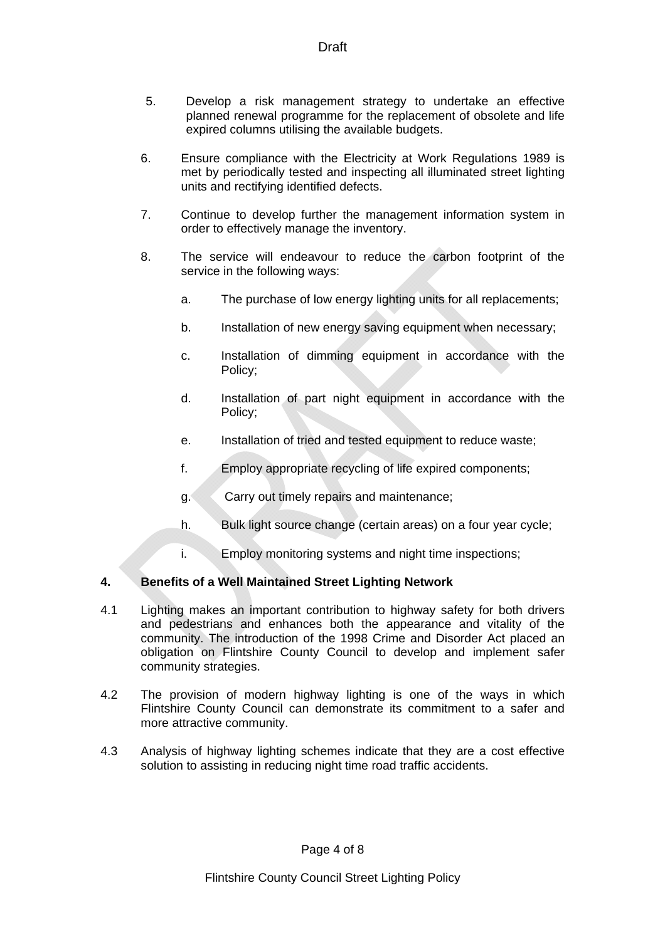- 5. Develop a risk management strategy to undertake an effective planned renewal programme for the replacement of obsolete and life expired columns utilising the available budgets.
- 6. Ensure compliance with the Electricity at Work Regulations 1989 is met by periodically tested and inspecting all illuminated street lighting units and rectifying identified defects.
- 7. Continue to develop further the management information system in order to effectively manage the inventory.
- 8. The service will endeavour to reduce the carbon footprint of the service in the following ways:
	- a. The purchase of low energy lighting units for all replacements;
	- b. Installation of new energy saving equipment when necessary;
	- c. Installation of dimming equipment in accordance with the Policy;
	- d. Installation of part night equipment in accordance with the Policy;
	- e. Installation of tried and tested equipment to reduce waste;
	- f. Employ appropriate recycling of life expired components;
	- g. Carry out timely repairs and maintenance;
	- h. Bulk light source change (certain areas) on a four year cycle;
	- i. Employ monitoring systems and night time inspections;

## **4. Benefits of a Well Maintained Street Lighting Network**

- 4.1 Lighting makes an important contribution to highway safety for both drivers and pedestrians and enhances both the appearance and vitality of the community. The introduction of the 1998 Crime and Disorder Act placed an obligation on Flintshire County Council to develop and implement safer community strategies.
- 4.2 The provision of modern highway lighting is one of the ways in which Flintshire County Council can demonstrate its commitment to a safer and more attractive community.
- 4.3 Analysis of highway lighting schemes indicate that they are a cost effective solution to assisting in reducing night time road traffic accidents.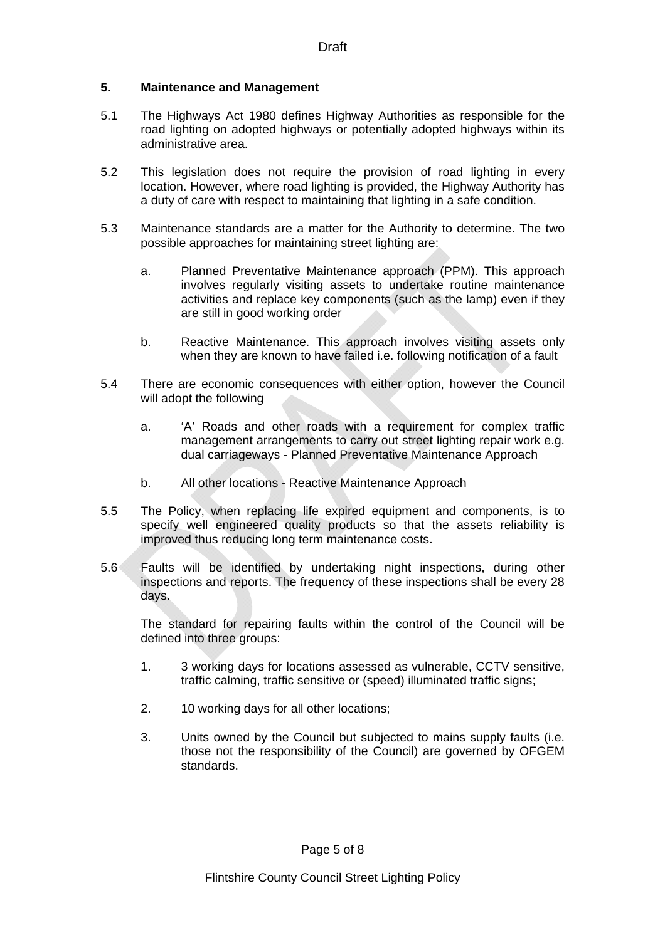#### **5. Maintenance and Management**

- 5.1 The Highways Act 1980 defines Highway Authorities as responsible for the road lighting on adopted highways or potentially adopted highways within its administrative area.
- 5.2 This legislation does not require the provision of road lighting in every location. However, where road lighting is provided, the Highway Authority has a duty of care with respect to maintaining that lighting in a safe condition.
- 5.3 Maintenance standards are a matter for the Authority to determine. The two possible approaches for maintaining street lighting are:
	- a. Planned Preventative Maintenance approach (PPM). This approach involves regularly visiting assets to undertake routine maintenance activities and replace key components (such as the lamp) even if they are still in good working order
	- b. Reactive Maintenance. This approach involves visiting assets only when they are known to have failed i.e. following notification of a fault
- 5.4 There are economic consequences with either option, however the Council will adopt the following
	- a. 'A' Roads and other roads with a requirement for complex traffic management arrangements to carry out street lighting repair work e.g. dual carriageways - Planned Preventative Maintenance Approach
	- b. All other locations Reactive Maintenance Approach
- 5.5 The Policy, when replacing life expired equipment and components, is to specify well engineered quality products so that the assets reliability is improved thus reducing long term maintenance costs.
- 5.6 Faults will be identified by undertaking night inspections, during other inspections and reports. The frequency of these inspections shall be every 28 days.

The standard for repairing faults within the control of the Council will be defined into three groups:

- 1. 3 working days for locations assessed as vulnerable, CCTV sensitive, traffic calming, traffic sensitive or (speed) illuminated traffic signs;
- 2. 10 working days for all other locations;
- 3. Units owned by the Council but subjected to mains supply faults (i.e. those not the responsibility of the Council) are governed by OFGEM standards.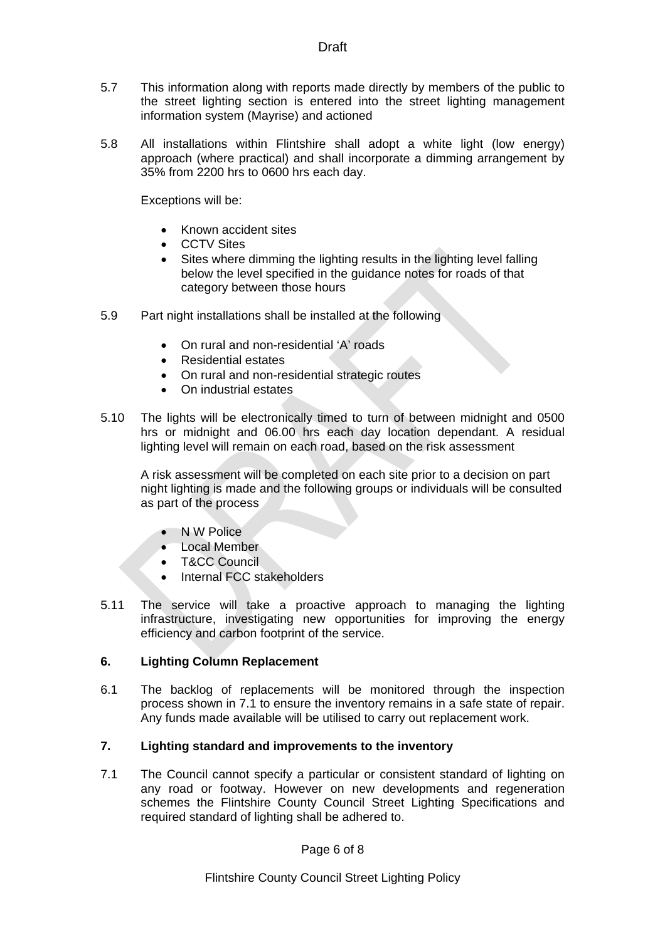- 5.7 This information along with reports made directly by members of the public to the street lighting section is entered into the street lighting management information system (Mayrise) and actioned
- 5.8 All installations within Flintshire shall adopt a white light (low energy) approach (where practical) and shall incorporate a dimming arrangement by 35% from 2200 hrs to 0600 hrs each day.

Exceptions will be:

- Known accident sites
- CCTV Sites
- Sites where dimming the lighting results in the lighting level falling below the level specified in the guidance notes for roads of that category between those hours
- 5.9 Part night installations shall be installed at the following
	- On rural and non-residential 'A' roads
	- Residential estates
	- On rural and non-residential strategic routes
	- On industrial estates
- 5.10 The lights will be electronically timed to turn of between midnight and 0500 hrs or midnight and 06.00 hrs each day location dependant. A residual lighting level will remain on each road, based on the risk assessment

A risk assessment will be completed on each site prior to a decision on part night lighting is made and the following groups or individuals will be consulted as part of the process

- N W Police
- Local Member
- T&CC Council
- Internal FCC stakeholders
- 5.11 The service will take a proactive approach to managing the lighting infrastructure, investigating new opportunities for improving the energy efficiency and carbon footprint of the service.

#### **6. Lighting Column Replacement**

6.1 The backlog of replacements will be monitored through the inspection process shown in 7.1 to ensure the inventory remains in a safe state of repair. Any funds made available will be utilised to carry out replacement work.

#### **7. Lighting standard and improvements to the inventory**

7.1 The Council cannot specify a particular or consistent standard of lighting on any road or footway. However on new developments and regeneration schemes the Flintshire County Council Street Lighting Specifications and required standard of lighting shall be adhered to.

Page 6 of 8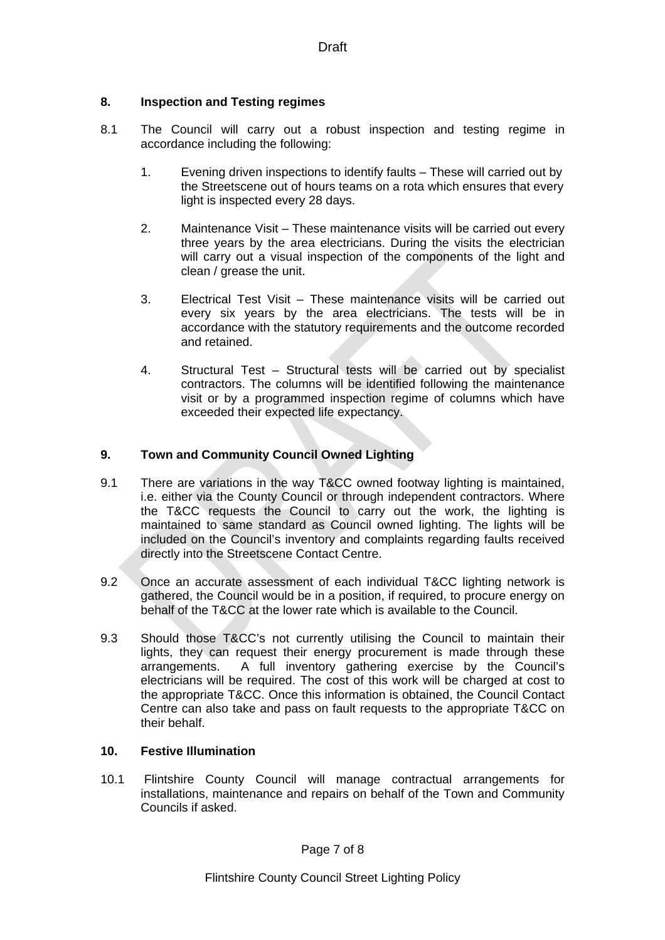### **8. Inspection and Testing regimes**

- 8.1 The Council will carry out a robust inspection and testing regime in accordance including the following:
	- 1. Evening driven inspections to identify faults These will carried out by the Streetscene out of hours teams on a rota which ensures that every light is inspected every 28 days.
	- 2. Maintenance Visit These maintenance visits will be carried out every three years by the area electricians. During the visits the electrician will carry out a visual inspection of the components of the light and clean / grease the unit.
	- 3. Electrical Test Visit These maintenance visits will be carried out every six years by the area electricians. The tests will be in accordance with the statutory requirements and the outcome recorded and retained.
	- 4. Structural Test Structural tests will be carried out by specialist contractors. The columns will be identified following the maintenance visit or by a programmed inspection regime of columns which have exceeded their expected life expectancy.

### **9. Town and Community Council Owned Lighting**

- 9.1 There are variations in the way T&CC owned footway lighting is maintained. i.e. either via the County Council or through independent contractors. Where the T&CC requests the Council to carry out the work, the lighting is maintained to same standard as Council owned lighting. The lights will be included on the Council's inventory and complaints regarding faults received directly into the Streetscene Contact Centre.
- 9.2 Once an accurate assessment of each individual T&CC lighting network is gathered, the Council would be in a position, if required, to procure energy on behalf of the T&CC at the lower rate which is available to the Council.
- 9.3 Should those T&CC's not currently utilising the Council to maintain their lights, they can request their energy procurement is made through these arrangements. A full inventory gathering exercise by the Council's electricians will be required. The cost of this work will be charged at cost to the appropriate T&CC. Once this information is obtained, the Council Contact Centre can also take and pass on fault requests to the appropriate T&CC on their behalf.

#### **10. Festive Illumination**

10.1 Flintshire County Council will manage contractual arrangements for installations, maintenance and repairs on behalf of the Town and Community Councils if asked.